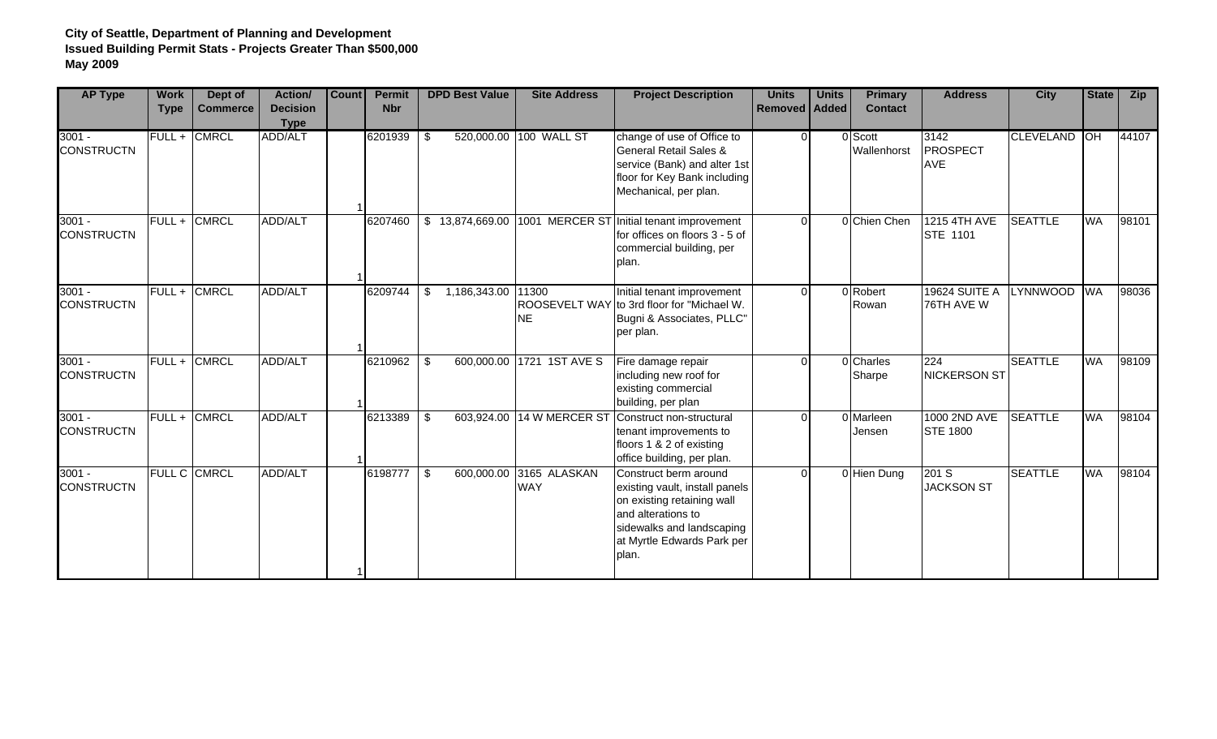| <b>AP Type</b>                | <b>Work</b><br><b>Type</b> | Dept of<br><b>Commerce</b> | Action/<br><b>Decision</b><br><b>Type</b> | <b>Count</b> | <b>Permit</b><br><b>Nbr</b> | <b>DPD Best Value</b>    | <b>Site Address</b>                   | <b>Project Description</b>                                                                                                                                                      | <b>Units</b><br><b>Removed Added</b> | <b>Units</b> | <b>Primary</b><br><b>Contact</b> | <b>Address</b>                         | <b>City</b>      | <b>State</b> | <b>Zip</b> |
|-------------------------------|----------------------------|----------------------------|-------------------------------------------|--------------|-----------------------------|--------------------------|---------------------------------------|---------------------------------------------------------------------------------------------------------------------------------------------------------------------------------|--------------------------------------|--------------|----------------------------------|----------------------------------------|------------------|--------------|------------|
| $3001 -$<br><b>CONSTRUCTN</b> |                            | FULL + CMRCL               | ADD/ALT                                   |              | 6201939                     | \$                       | 520,000.00 100 WALL ST                | change of use of Office to<br><b>General Retail Sales &amp;</b><br>service (Bank) and alter 1st<br>floor for Key Bank including<br>Mechanical, per plan.                        |                                      | $\Omega$     | 0 Scott<br>Wallenhorst           | 3142<br>PROSPECT<br><b>AVE</b>         | <b>CLEVELAND</b> | ЮH           | 44107      |
| $3001 -$<br><b>CONSTRUCTN</b> |                            | FULL + CMRCL               | ADD/ALT                                   |              | 6207460                     | \$13,874,669.00          |                                       | 1001 MERCER ST Initial tenant improvement<br>for offices on floors 3 - 5 of<br>commercial building, per<br>plan.                                                                |                                      | $\Omega$     | 0 Chien Chen                     | 1215 4TH AVE<br><b>STE 1101</b>        | <b>SEATTLE</b>   | <b>WA</b>    | 98101      |
| $3001 -$<br><b>CONSTRUCTN</b> |                            | FULL + CMRCL               | ADD/ALT                                   |              | 6209744                     | \$<br>1,186,343.00 11300 | <b>NE</b>                             | Initial tenant improvement<br>ROOSEVELT WAY to 3rd floor for "Michael W.<br>Bugni & Associates, PLLC"<br>per plan.                                                              | $\Omega$                             |              | 0 Robert<br>Rowan                | <b>19624 SUITE A</b><br>76TH AVE W     | <b>LYNNWOOD</b>  | <b>WA</b>    | 98036      |
| $3001 -$<br><b>CONSTRUCTN</b> |                            | FULL + CMRCL               | <b>ADD/ALT</b>                            |              | 6210962                     | \$                       | 600,000.00 1721 1ST AVE S             | Fire damage repair<br>including new roof for<br>existing commercial<br>building, per plan                                                                                       | $\Omega$                             |              | 0 Charles<br>Sharpe              | 224<br><b>NICKERSON ST</b>             | <b>SEATTLE</b>   | <b>WA</b>    | 98109      |
| $3001 -$<br><b>CONSTRUCTN</b> |                            | FULL + CMRCL               | ADD/ALT                                   |              | 6213389                     | \$<br>603,924.00         | 14 W MERCER ST                        | Construct non-structural<br>tenant improvements to<br>floors 1 & 2 of existing<br>office building, per plan.                                                                    | $\Omega$                             |              | 0 Marleen<br>Jensen              | <b>1000 2ND AVE</b><br><b>STE 1800</b> | <b>SEATTLE</b>   | <b>WA</b>    | 98104      |
| $3001 -$<br><b>CONSTRUCTN</b> |                            | <b>FULL C CMRCL</b>        | ADD/ALT                                   |              | 6198777                     | \$                       | 600,000.00 3165 ALASKAN<br><b>WAY</b> | Construct berm around<br>existing vault, install panels<br>on existing retaining wall<br>and alterations to<br>sidewalks and landscaping<br>at Myrtle Edwards Park per<br>plan. | $\Omega$                             |              | 0 Hien Dung                      | 201 S<br><b>JACKSON ST</b>             | <b>SEATTLE</b>   | <b>WA</b>    | 98104      |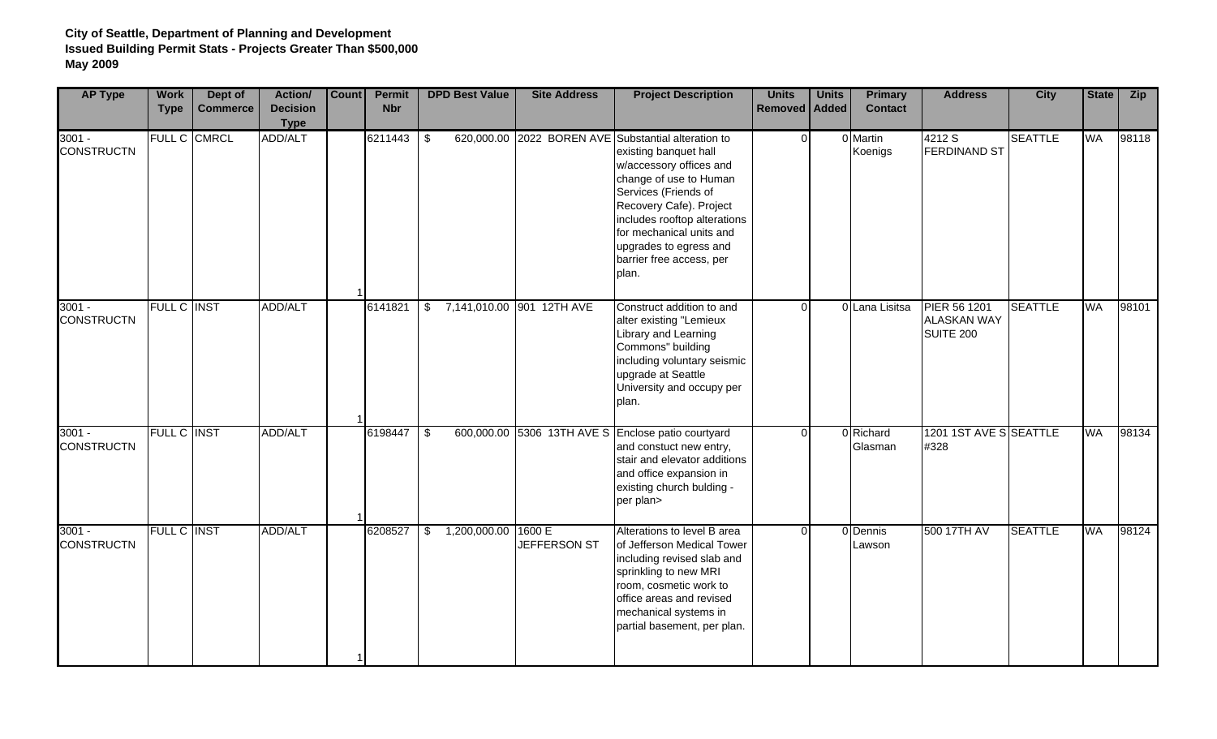| <b>AP Type</b>                | <b>Work</b><br><b>Type</b> | Dept of<br><b>Commerce</b> | Action/<br><b>Decision</b><br><b>Type</b> | Count | <b>Permit</b><br><b>Nbr</b> |                         | <b>DPD Best Value</b> | <b>Site Address</b>       | <b>Project Description</b>                                                                                                                                                                                                                                                                                      | <b>Units</b><br>Removed   Added | <b>Units</b> | <b>Primary</b><br><b>Contact</b> | <b>Address</b>                                         | <b>City</b>    | <b>State</b> | Zip   |
|-------------------------------|----------------------------|----------------------------|-------------------------------------------|-------|-----------------------------|-------------------------|-----------------------|---------------------------|-----------------------------------------------------------------------------------------------------------------------------------------------------------------------------------------------------------------------------------------------------------------------------------------------------------------|---------------------------------|--------------|----------------------------------|--------------------------------------------------------|----------------|--------------|-------|
| $3001 -$<br><b>CONSTRUCTN</b> |                            | FULL C CMRCL               | ADD/ALT                                   |       | 6211443                     | $\sqrt[6]{2}$           |                       |                           | 620,000.00 2022 BOREN AVE Substantial alteration to<br>existing banquet hall<br>w/accessory offices and<br>change of use to Human<br>Services (Friends of<br>Recovery Cafe). Project<br>includes rooftop alterations<br>for mechanical units and<br>upgrades to egress and<br>barrier free access, per<br>plan. | $\Omega$                        |              | 0 Martin<br>Koenigs              | 4212 S<br><b>FERDINAND ST</b>                          | <b>SEATTLE</b> | <b>WA</b>    | 98118 |
| $3001 -$<br><b>CONSTRUCTN</b> | <b>FULL C INST</b>         |                            | ADD/ALT                                   |       | 6141821                     | \$                      |                       | 7,141,010.00 901 12TH AVE | Construct addition to and<br>alter existing "Lemieux<br>Library and Learning<br>Commons" building<br>including voluntary seismic<br>upgrade at Seattle<br>University and occupy per<br>plan.                                                                                                                    | $\Omega$                        |              | 0 Lana Lisitsa                   | PIER 56 1201<br><b>ALASKAN WAY</b><br><b>SUITE 200</b> | <b>SEATTLE</b> | <b>WA</b>    | 98101 |
| $3001 -$<br><b>CONSTRUCTN</b> | <b>FULL C INST</b>         |                            | <b>ADD/ALT</b>                            |       | 6198447                     | $\overline{\mathbf{S}}$ |                       |                           | 600,000.00 5306 13TH AVE S Enclose patio courtyard<br>and constuct new entry,<br>stair and elevator additions<br>and office expansion in<br>existing church bulding -<br>per plan>                                                                                                                              | $\Omega$                        |              | 0 Richard<br>Glasman             | 1201 1ST AVE S SEATTLE<br>#328                         |                | <b>WA</b>    | 98134 |
| $3001 -$<br><b>CONSTRUCTN</b> | <b>FULL C INST</b>         |                            | ADD/ALT                                   |       | 6208527                     |                         | \$1,200,000.00        | 1600 E<br>JEFFERSON ST    | Alterations to level B area<br>of Jefferson Medical Tower<br>including revised slab and<br>sprinkling to new MRI<br>room, cosmetic work to<br>office areas and revised<br>mechanical systems in<br>partial basement, per plan.                                                                                  | $\Omega$                        |              | 0 Dennis<br>Lawson               | 500 17TH AV                                            | <b>SEATTLE</b> | WA           | 98124 |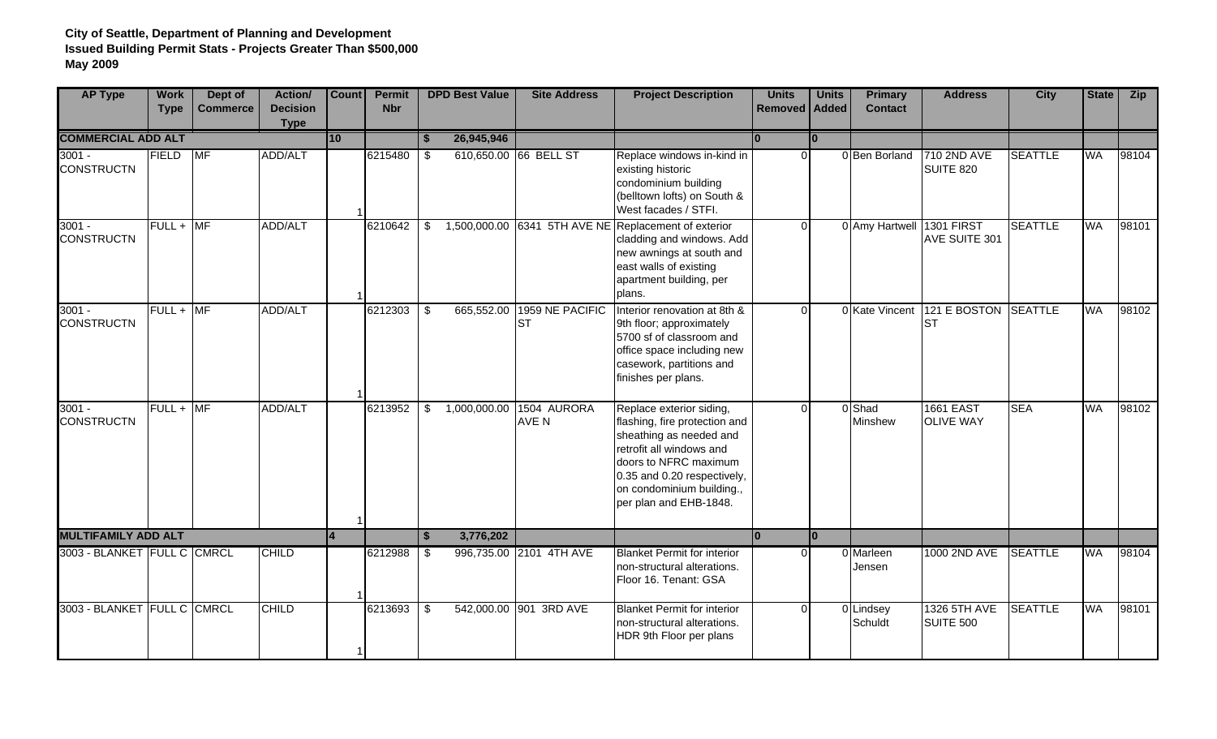| <b>AP Type</b>                | <b>Work</b><br><b>Type</b> | Dept of<br><b>Commerce</b> | Action/<br><b>Decision</b><br><b>Type</b> | Count           | <b>Permit</b><br><b>Nbr</b> |                                  | <b>DPD Best Value</b> | <b>Site Address</b>          | <b>Project Description</b>                                                                                                                                                                                                      | <b>Units</b><br>Removed   Added | <b>Units</b> | <b>Primary</b><br><b>Contact</b> | <b>Address</b>                       | <b>City</b>    | <b>State</b> | Zip   |
|-------------------------------|----------------------------|----------------------------|-------------------------------------------|-----------------|-----------------------------|----------------------------------|-----------------------|------------------------------|---------------------------------------------------------------------------------------------------------------------------------------------------------------------------------------------------------------------------------|---------------------------------|--------------|----------------------------------|--------------------------------------|----------------|--------------|-------|
| <b>COMMERCIAL ADD ALT</b>     |                            |                            |                                           | $\overline{10}$ |                             |                                  | 26,945,946            |                              |                                                                                                                                                                                                                                 |                                 |              |                                  |                                      |                |              |       |
| $3001 -$<br><b>CONSTRUCTN</b> | FIELD                      | MF                         | ADD/ALT                                   |                 | 6215480                     | \$                               |                       | 610,650.00 66 BELL ST        | Replace windows in-kind in<br>existing historic<br>condominium building<br>(belltown lofts) on South &<br>West facades / STFI.                                                                                                  | <sup>0</sup>                    |              | 0 Ben Borland                    | 710 2ND AVE<br>SUITE 820             | <b>SEATTLE</b> | WA           | 98104 |
| $3001 -$<br><b>CONSTRUCTN</b> | $FULL + MF$                |                            | <b>ADD/ALT</b>                            |                 | 6210642                     | \$                               |                       |                              | 1,500,000.00 6341 5TH AVE NE Replacement of exterior<br>cladding and windows. Add<br>new awnings at south and<br>east walls of existing<br>apartment building, per<br>plans.                                                    | $\Omega$                        |              | 0 Amy Hartwell                   | <b>1301 FIRST</b><br>AVE SUITE 301   | <b>SEATTLE</b> | <b>WA</b>    | 98101 |
| $3001 -$<br><b>CONSTRUCTN</b> | $FULL + M F$               |                            | <b>ADD/ALT</b>                            |                 | 6212303                     | $\overline{\boldsymbol{\theta}}$ | 665,552.00            | 1959 NE PACIFIC<br><b>ST</b> | Interior renovation at 8th &<br>9th floor; approximately<br>5700 sf of classroom and<br>office space including new<br>casework, partitions and<br>finishes per plans.                                                           | $\Omega$                        |              | 0 Kate Vincent                   | 121 E BOSTON SEATTLE<br><b>ST</b>    |                | <b>WA</b>    | 98102 |
| $3001 -$<br><b>CONSTRUCTN</b> | $FULL + MF$                |                            | ADD/ALT                                   |                 | 6213952                     | \$                               | 1,000,000.00          | 1504 AURORA<br>AVE N         | Replace exterior siding,<br>flashing, fire protection and<br>sheathing as needed and<br>retrofit all windows and<br>doors to NFRC maximum<br>0.35 and 0.20 respectively,<br>on condominium building.,<br>per plan and EHB-1848. |                                 |              | 0 Shad<br>Minshew                | <b>1661 EAST</b><br><b>OLIVE WAY</b> | <b>SEA</b>     | WA           | 98102 |
| <b>MULTIFAMILY ADD ALT</b>    |                            |                            |                                           |                 |                             | \$                               | 3,776,202             |                              |                                                                                                                                                                                                                                 | l٥                              | lo.          |                                  |                                      |                |              |       |
| 3003 - BLANKET FULL C CMRCL   |                            |                            | <b>CHILD</b>                              |                 | 6212988                     | \$                               |                       | 996,735.00 2101 4TH AVE      | <b>Blanket Permit for interior</b><br>non-structural alterations.<br>Floor 16. Tenant: GSA                                                                                                                                      |                                 | U            | 0 Marleen<br>Jensen              | 1000 2ND AVE                         | <b>SEATTLE</b> | WA           | 98104 |
| 3003 - BLANKET FULL C CMRCL   |                            |                            | <b>CHILD</b>                              |                 | 6213693                     | \$                               |                       | 542,000.00 901 3RD AVE       | <b>Blanket Permit for interior</b><br>non-structural alterations.<br>HDR 9th Floor per plans                                                                                                                                    | $\Omega$                        |              | 0 Lindsey<br>Schuldt             | 1326 5TH AVE<br><b>SUITE 500</b>     | <b>SEATTLE</b> | <b>WA</b>    | 98101 |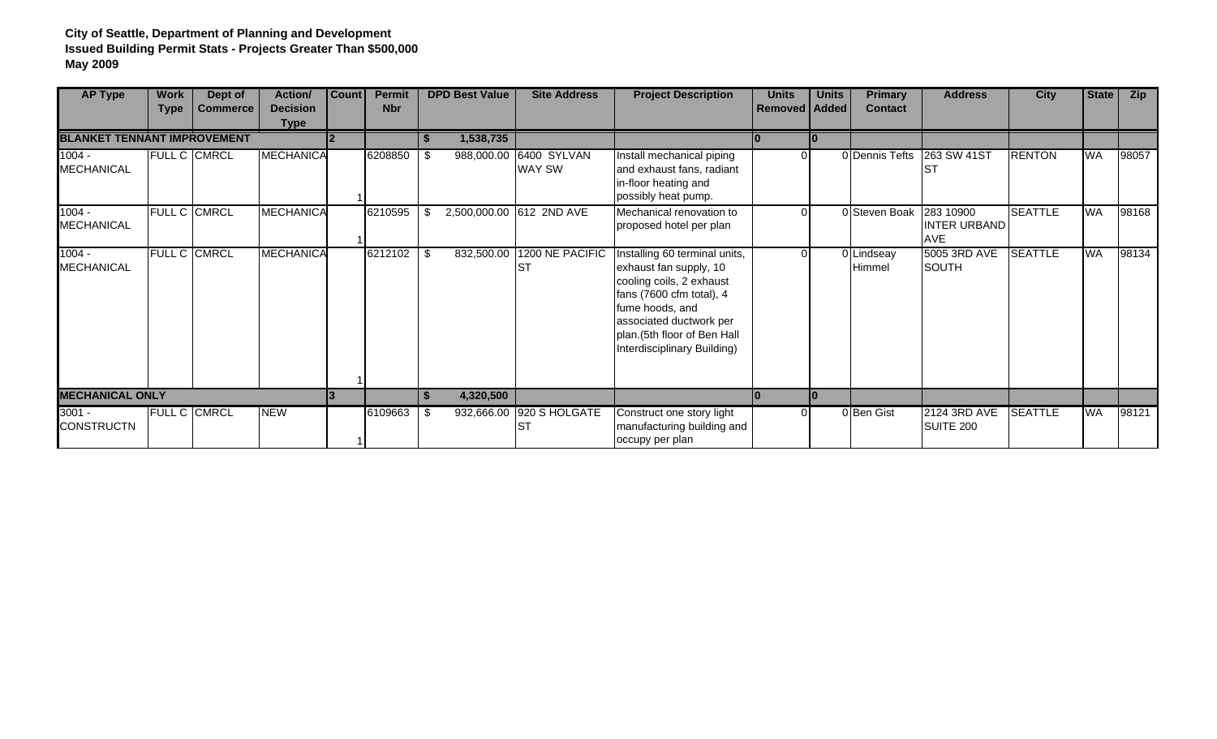| <b>AP Type</b>                     | <b>Work</b><br><b>Type</b> | Dept of<br><b>Commerce</b> | Action/<br><b>Decision</b> | <b>Count</b> | <b>Permit</b><br><b>Nbr</b> |      | <b>DPD Best Value</b> | <b>Site Address</b>                     | <b>Project Description</b>                                                                                                                                                                                                  | <b>Units</b><br><b>Removed   Added</b> | <b>Units</b> | <b>Primary</b><br><b>Contact</b> | <b>Address</b>                          | <b>City</b>    | State     | Zip   |
|------------------------------------|----------------------------|----------------------------|----------------------------|--------------|-----------------------------|------|-----------------------|-----------------------------------------|-----------------------------------------------------------------------------------------------------------------------------------------------------------------------------------------------------------------------------|----------------------------------------|--------------|----------------------------------|-----------------------------------------|----------------|-----------|-------|
|                                    |                            |                            | <b>Type</b>                |              |                             |      |                       |                                         |                                                                                                                                                                                                                             |                                        |              |                                  |                                         |                |           |       |
| <b>BLANKET TENNANT IMPROVEMENT</b> |                            |                            |                            |              |                             |      | 1,538,735             |                                         |                                                                                                                                                                                                                             |                                        |              |                                  |                                         |                |           |       |
| $1004 -$<br><b>MECHANICAL</b>      |                            | <b>FULL C CMRCL</b>        | MECHANICA                  |              | 6208850                     | - \$ |                       | 988,000.00 6400 SYLVAN<br><b>WAY SW</b> | Install mechanical piping<br>and exhaust fans, radiant<br>in-floor heating and<br>possibly heat pump.                                                                                                                       | $\Omega$                               |              | 0 Dennis Tefts                   | 263 SW 41ST                             | <b>RENTON</b>  | <b>WA</b> | 98057 |
| $1004 -$<br><b>MECHANICAL</b>      |                            | FULL C CMRCL               | MECHANICA                  |              | 6210595                     | -S   |                       | 2,500,000.00 612 2ND AVE                | Mechanical renovation to<br>proposed hotel per plan                                                                                                                                                                         | $\Omega$                               |              | 0 Steven Boak                    | 283 10900<br><b>INTER URBAND</b><br>AVE | <b>SEATTLE</b> | <b>WA</b> | 98168 |
| $1004 -$<br><b>MECHANICAL</b>      |                            | FULL C CMRCL               | MECHANICA                  |              | 6212102                     | -\$  | 832,500.00            | 1200 NE PACIFIC<br><b>I</b> ST          | Installing 60 terminal units,<br>exhaust fan supply, 10<br>cooling coils, 2 exhaust<br>fans (7600 cfm total), 4<br>fume hoods, and<br>associated ductwork per<br>plan.(5th floor of Ben Hall<br>Interdisciplinary Building) | $\Omega$                               |              | 0 Lindseay<br>Himmel             | 5005 3RD AVE<br>SOUTH                   | <b>SEATTLE</b> | WA        | 98134 |
| <b>MECHANICAL ONLY</b>             |                            |                            |                            | 3            |                             | S.   | 4,320,500             |                                         |                                                                                                                                                                                                                             |                                        | l0           |                                  |                                         |                |           |       |
| $3001 -$<br><b>CONSTRUCTN</b>      |                            | <b>FULL C CMRCL</b>        | <b>NEW</b>                 |              | 6109663                     | -\$  |                       | 932,666.00 920 S HOLGATE<br>IST         | Construct one story light<br>manufacturing building and<br>occupy per plan                                                                                                                                                  | $\Omega$                               |              | 0 Ben Gist                       | 2124 3RD AVE<br>SUITE 200               | <b>SEATTLE</b> | WA        | 98121 |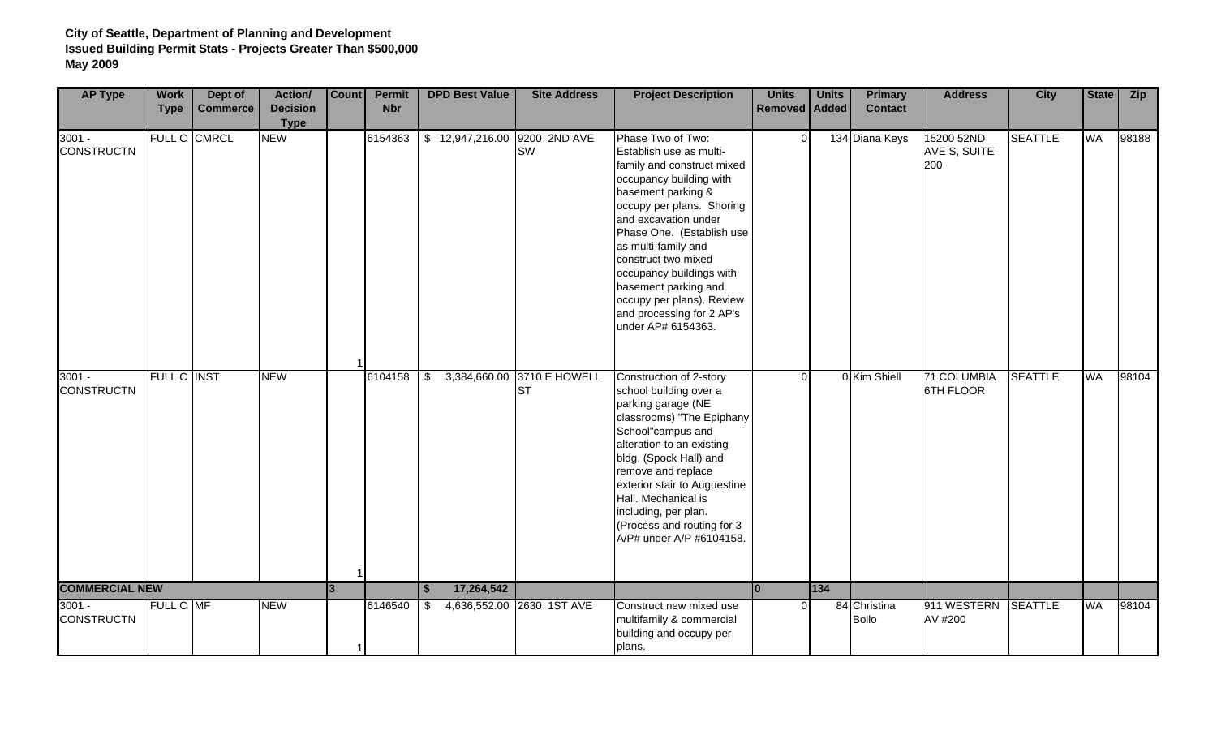| <b>AP Type</b>                | <b>Work</b><br><b>Type</b> | Dept of<br><b>Commerce</b> | Action/<br><b>Decision</b><br><b>Type</b> | Count | <b>Permit</b><br><b>Nbr</b> |          | <b>DPD Best Value</b> | <b>Site Address</b>                     | <b>Project Description</b>                                                                                                                                                                                                                                                                                                                                                                      | <b>Units</b><br>Removed   Added | <b>Units</b> | <b>Primary</b><br><b>Contact</b> | <b>Address</b>                    | <b>City</b>    | <b>State</b> | <b>Zip</b> |
|-------------------------------|----------------------------|----------------------------|-------------------------------------------|-------|-----------------------------|----------|-----------------------|-----------------------------------------|-------------------------------------------------------------------------------------------------------------------------------------------------------------------------------------------------------------------------------------------------------------------------------------------------------------------------------------------------------------------------------------------------|---------------------------------|--------------|----------------------------------|-----------------------------------|----------------|--------------|------------|
| $3001 -$<br><b>CONSTRUCTN</b> |                            | FULL C CMRCL               | <b>NEW</b>                                |       | 6154363                     |          | \$12,947,216.00       | 9200 2ND AVE<br>SW                      | Phase Two of Two:<br>Establish use as multi-<br>family and construct mixed<br>occupancy building with<br>basement parking &<br>occupy per plans. Shoring<br>and excavation under<br>Phase One. (Establish use<br>as multi-family and<br>construct two mixed<br>occupancy buildings with<br>basement parking and<br>occupy per plans). Review<br>and processing for 2 AP's<br>under AP# 6154363. | $\Omega$                        |              | 134 Diana Keys                   | 15200 52ND<br>AVE S, SUITE<br>200 | <b>SEATTLE</b> | <b>WA</b>    | 98188      |
| $3001 -$<br><b>CONSTRUCTN</b> | FULL C INST                |                            | <b>NEW</b>                                |       | 6104158                     | \$       |                       | 3,384,660.00 3710 E HOWELL<br><b>ST</b> | Construction of 2-story<br>school building over a<br>parking garage (NE<br>classrooms) "The Epiphany<br>School"campus and<br>alteration to an existing<br>bldg, (Spock Hall) and<br>remove and replace<br>exterior stair to Auguestine<br>Hall. Mechanical is<br>including, per plan.<br>(Process and routing for 3<br>A/P# under A/P #6104158.                                                 | ∩                               |              | 0 Kim Shiell                     | 71 COLUMBIA<br>6TH FLOOR          | <b>SEATTLE</b> | <b>WA</b>    | 98104      |
| <b>COMMERCIAL NEW</b>         |                            |                            |                                           | 3     |                             | <b>S</b> | 17,264,542            |                                         |                                                                                                                                                                                                                                                                                                                                                                                                 | lo                              | 134          |                                  |                                   |                |              |            |
| $3001 -$<br><b>CONSTRUCTN</b> | FULL C MF                  |                            | <b>NEW</b>                                |       | 6146540                     | \$       |                       | 4,636,552.00 2630 1ST AVE               | Construct new mixed use<br>multifamily & commercial<br>building and occupy per<br>plans.                                                                                                                                                                                                                                                                                                        | $\Omega$                        |              | 84 Christina<br><b>Bollo</b>     | 911 WESTERN SEATTLE<br>AV #200    |                | WA           | 98104      |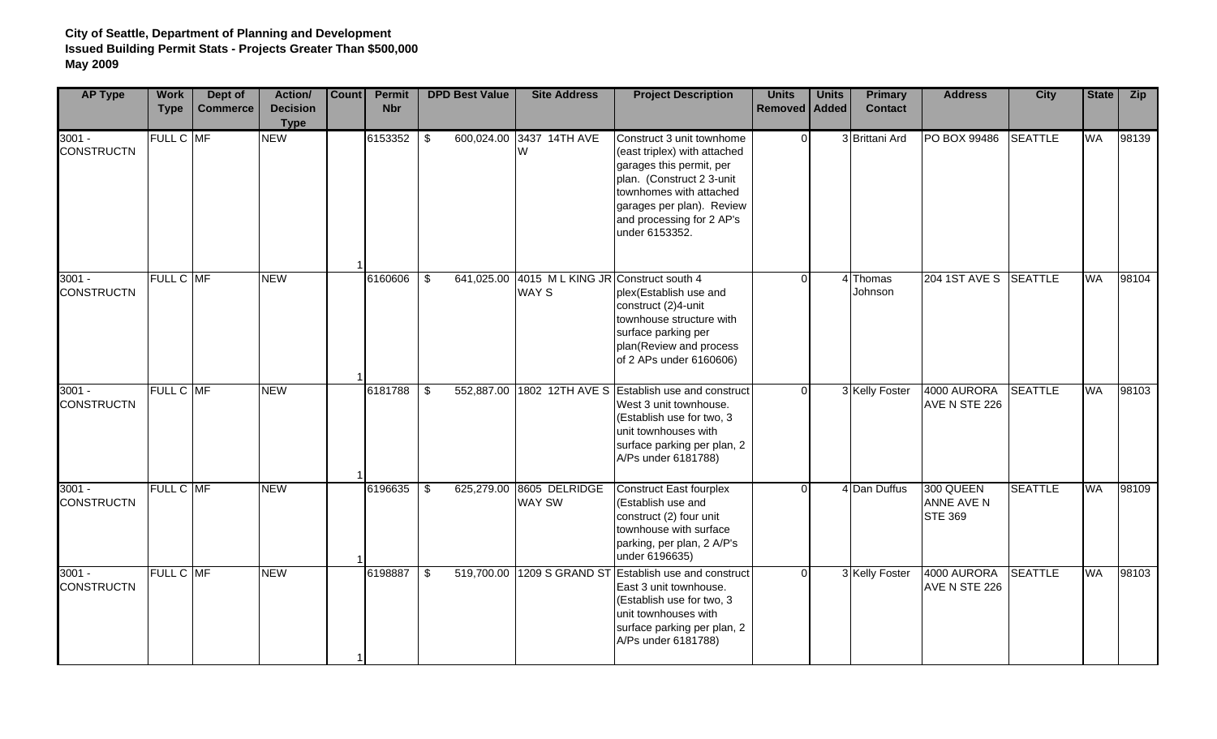| <b>AP Type</b>                | <b>Work</b><br><b>Type</b> | Dept of<br><b>Commerce</b> | Action/<br><b>Decision</b><br><b>Type</b> | Count | Permit<br><b>Nbr</b> |                         | <b>DPD Best Value</b> | <b>Site Address</b>                               | <b>Project Description</b>                                                                                                                                                                                                | <b>Units</b><br>Removed   Added | <b>Units</b> | <b>Primary</b><br><b>Contact</b> | <b>Address</b>                                   | <b>City</b>    | <b>State</b> | Zip   |
|-------------------------------|----------------------------|----------------------------|-------------------------------------------|-------|----------------------|-------------------------|-----------------------|---------------------------------------------------|---------------------------------------------------------------------------------------------------------------------------------------------------------------------------------------------------------------------------|---------------------------------|--------------|----------------------------------|--------------------------------------------------|----------------|--------------|-------|
| $3001 -$<br><b>CONSTRUCTN</b> | FULL C MF                  |                            | <b>NEW</b>                                |       | 6153352              | \$                      | 600,024.00            | 3437 14TH AVE<br>W                                | Construct 3 unit townhome<br>(east triplex) with attached<br>garages this permit, per<br>plan. (Construct 2 3-unit<br>townhomes with attached<br>garages per plan). Review<br>and processing for 2 AP's<br>under 6153352. | $\Omega$                        |              | 3 Brittani Ard                   | PO BOX 99486                                     | <b>SEATTLE</b> | WA           | 98139 |
| $3001 -$<br><b>CONSTRUCTN</b> | FULL C MF                  |                            | <b>NEW</b>                                |       | 6160606              | $\sqrt[6]{2}$           | 641,025.00            | 4015 M L KING JR Construct south 4<br><b>WAYS</b> | plex(Establish use and<br>construct (2)4-unit<br>townhouse structure with<br>surface parking per<br>plan(Review and process<br>of 2 APs under 6160606)                                                                    | $\Omega$                        |              | 4 Thomas<br>Johnson              | 204 1ST AVE S SEATTLE                            |                | <b>WA</b>    | 98104 |
| $3001 -$<br><b>CONSTRUCTN</b> | FULL C MF                  |                            | <b>NEW</b>                                |       | 6181788              | $\overline{\mathbf{3}}$ | 552,887.00            |                                                   | 1802 12TH AVE S Establish use and construct<br>West 3 unit townhouse.<br>(Establish use for two, 3<br>unit townhouses with<br>surface parking per plan, 2<br>A/Ps under 6181788)                                          | $\Omega$                        |              | 3 Kelly Foster                   | 4000 AURORA<br>AVE N STE 226                     | <b>SEATTLE</b> | <b>WA</b>    | 98103 |
| $3001 -$<br><b>CONSTRUCTN</b> | FULL C MF                  |                            | <b>NEW</b>                                |       | 6196635              | $\frac{1}{2}$           | 625,279.00            | 8605 DELRIDGE<br>WAY SW                           | <b>Construct East fourplex</b><br>(Establish use and<br>construct (2) four unit<br>townhouse with surface<br>parking, per plan, 2 A/P's<br>under 6196635)                                                                 | $\cap$                          |              | 4 Dan Duffus                     | 300 QUEEN<br><b>ANNE AVE N</b><br><b>STE 369</b> | <b>SEATTLE</b> | <b>WA</b>    | 98109 |
| $3001 -$<br><b>CONSTRUCTN</b> | FULL C MF                  |                            | <b>NEW</b>                                |       | 6198887              | \$                      | 519,700.00            | <b>1209 S GRAND ST</b>                            | <b>Establish use and construct</b><br>East 3 unit townhouse.<br>(Establish use for two, 3<br>unit townhouses with<br>surface parking per plan, 2<br>A/Ps under 6181788)                                                   | $\Omega$                        |              | 3 Kelly Foster                   | 4000 AURORA<br>AVE N STE 226                     | <b>SEATTLE</b> | <b>WA</b>    | 98103 |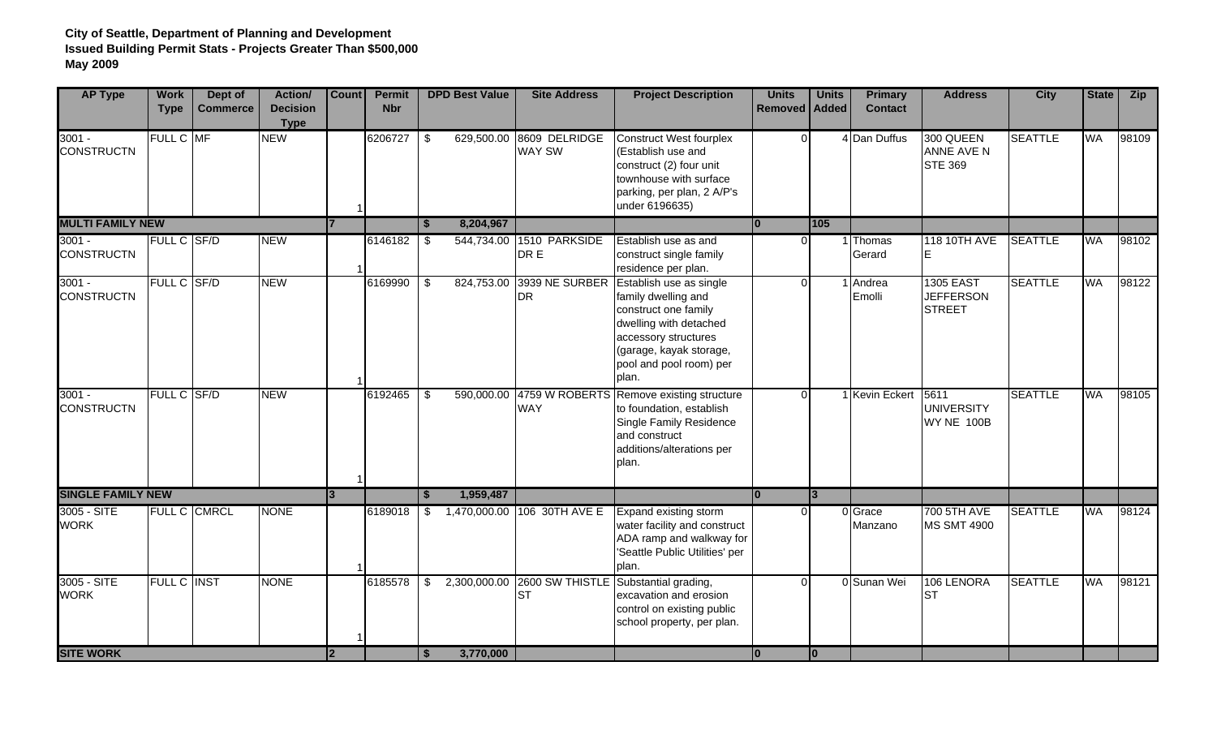| <b>AP Type</b>                | <b>Work</b><br><b>Type</b> | Dept of<br><b>Commerce</b> | Action/<br><b>Decision</b><br><b>Type</b> | <b>Count</b>   | <b>Permit</b><br><b>Nbr</b> | <b>DPD Best Value</b>       |           | <b>Site Address</b>              | <b>Project Description</b>                                                                                                                                                              | <b>Units</b><br><b>Removed</b> | <b>Units</b><br><b>Added</b> | <b>Primary</b><br><b>Contact</b> | <b>Address</b>                                        | <b>City</b>    | <b>State</b> | <b>Zip</b> |
|-------------------------------|----------------------------|----------------------------|-------------------------------------------|----------------|-----------------------------|-----------------------------|-----------|----------------------------------|-----------------------------------------------------------------------------------------------------------------------------------------------------------------------------------------|--------------------------------|------------------------------|----------------------------------|-------------------------------------------------------|----------------|--------------|------------|
| $3001 -$<br><b>CONSTRUCTN</b> | FULL C MF                  |                            | <b>NEW</b>                                |                | 6206727                     | $\sqrt[6]{2}$<br>629,500.00 |           | 8609 DELRIDGE<br><b>WAY SW</b>   | <b>Construct West fourplex</b><br>(Establish use and<br>construct (2) four unit<br>townhouse with surface<br>parking, per plan, 2 A/P's<br>under 6196635)                               | $\Omega$                       |                              | 4 Dan Duffus                     | 300 QUEEN<br>ANNE AVE N<br><b>STE 369</b>             | <b>SEATTLE</b> | WA           | 98109      |
| <b>MULTI FAMILY NEW</b>       |                            |                            |                                           |                |                             | 8,204,967<br>-S             |           |                                  |                                                                                                                                                                                         |                                | 105                          |                                  |                                                       |                |              |            |
| $3001 -$<br><b>CONSTRUCTN</b> | FULL C SF/D                |                            | <b>NEW</b>                                |                | 6146182                     | \$                          |           | 544,734.00 1510 PARKSIDE<br>DR E | Establish use as and<br>construct single family<br>residence per plan.                                                                                                                  | $\Omega$                       |                              | Thomas<br>Gerard                 | <b>118 10TH AVE</b>                                   | <b>SEATTLE</b> | <b>WA</b>    | 98102      |
| $3001 -$<br><b>CONSTRUCTN</b> | FULL C SF/D                |                            | <b>NEW</b>                                |                | 6169990                     | \$<br>824,753.00            |           | 3939 NE SURBER<br><b>DR</b>      | Establish use as single<br>family dwelling and<br>construct one family<br>dwelling with detached<br>accessory structures<br>(garage, kayak storage,<br>pool and pool room) per<br>plan. | $\Omega$                       |                              | Andrea<br>Emolli                 | <b>1305 EAST</b><br><b>JEFFERSON</b><br><b>STREET</b> | <b>SEATTLE</b> | <b>WA</b>    | 98122      |
| $3001 -$<br><b>CONSTRUCTN</b> | FULL C SF/D                |                            | <b>NEW</b>                                |                | 6192465                     | \$                          |           | <b>WAY</b>                       | 590,000.00 4759 W ROBERTS Remove existing structure<br>to foundation, establish<br><b>Single Family Residence</b><br>and construct<br>additions/alterations per<br>plan.                | $\Omega$                       |                              | <b>Kevin Eckert</b>              | 5611<br><b>UNIVERSITY</b><br>WY NE 100B               | <b>SEATTLE</b> | <b>WA</b>    | 98105      |
| <b>SINGLE FAMILY NEW</b>      |                            |                            |                                           | $\overline{3}$ |                             | 1,959,487                   |           |                                  |                                                                                                                                                                                         | $\overline{0}$                 | $\overline{3}$               |                                  |                                                       |                |              |            |
| 3005 - SITE<br><b>WORK</b>    |                            | <b>FULL C CMRCL</b>        | <b>NONE</b>                               |                | 6189018                     | \$                          |           | 1,470,000.00 106 30TH AVE E      | Expand existing storm<br>water facility and construct<br>ADA ramp and walkway for<br>'Seattle Public Utilities' per<br>plan.                                                            | n                              |                              | 0 Grace<br>Manzano               | 700 5TH AVE<br><b>MS SMT 4900</b>                     | <b>SEATTLE</b> | WA           | 98124      |
| 3005 - SITE<br><b>WORK</b>    | <b>FULL C INST</b>         |                            | <b>NONE</b>                               |                | 6185578                     | 2,300,000.00<br>\$          |           | 2600 SW THISTLE<br><b>ST</b>     | Substantial grading,<br>excavation and erosion<br>control on existing public<br>school property, per plan.                                                                              | $\Omega$                       |                              | 0 Sunan Wei                      | 106 LENORA<br><b>ST</b>                               | <b>SEATTLE</b> | WA           | 98121      |
| <b>SITE WORK</b>              |                            |                            |                                           | <u> 2</u>      |                             | \$                          | 3,770,000 |                                  |                                                                                                                                                                                         | $\overline{0}$                 | lo                           |                                  |                                                       |                |              |            |